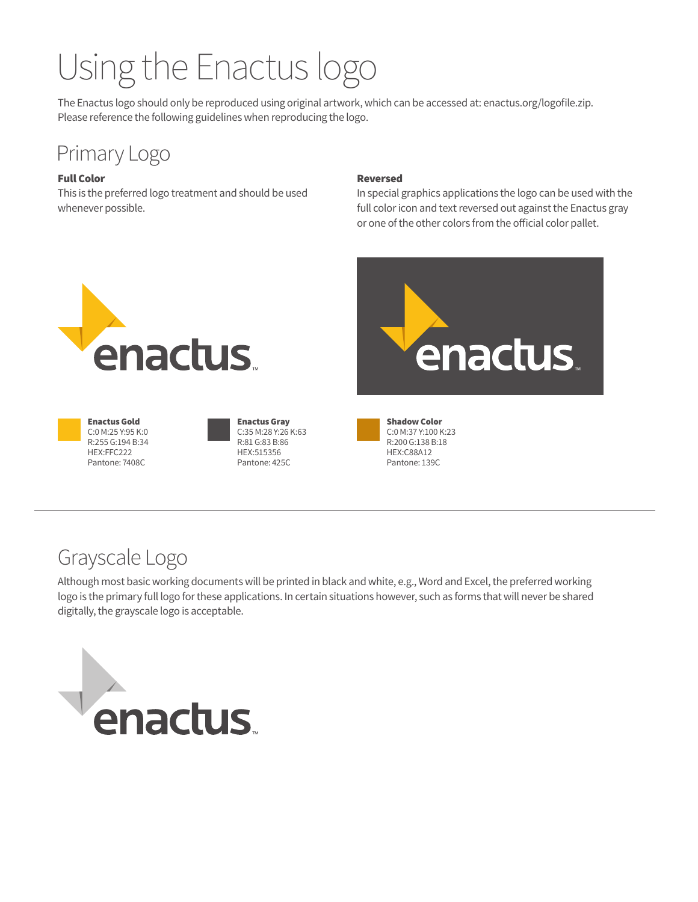# Using the Enactus logo

The Enactus logo should only be reproduced using original artwork, which can be accessed at: enactus.org/logofile.zip. Please reference the following guidelines when reproducing the logo.

# Primary Logo

### Full Color

This is the preferred logo treatment and should be used whenever possible.

#### Reversed

In special graphics applications the logo can be used with the full color icon and text reversed out against the Enactus gray or one of the other colors from the official color pallet.



Enactus Gold C:0 M:25 Y:95 K:0 R:255 G:194 B:34 HEX:FFC222 Pantone: 7408C

Enactus Gray C:35 M:28 Y:26 K:63 R:81 G:83 B:86 HEX:515356 Pantone: 425C



Shadow Color C:0 M:37 Y:100 K:23 R:200 G:138 B:18 HEX:C88A12 Pantone: 139C

# Grayscale Logo

Although most basic working documents will be printed in black and white, e.g., Word and Excel, the preferred working logo is the primary full logo for these applications. In certain situations however, such as forms that will never be shared digitally, the grayscale logo is acceptable.

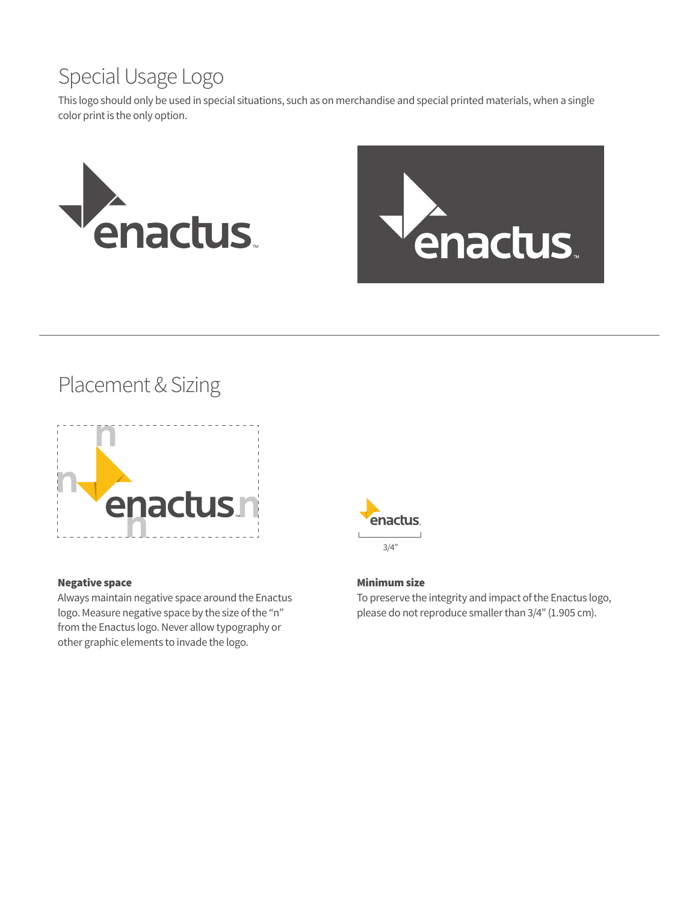# Special Usage Logo

This logo should only be used in special situations, such as on merchandise and special printed materials, when a single color print is the only option.





Placement & Sizing



#### Negative space

Always maintain negative space around the Enactus logo. Measure negative space by the size of the "n" from the Enactus logo. Never allow typography or other graphic elements to invade the logo.



### Minimum size

To preserve the integrity and impact of the Enactus logo, please do not reproduce smaller than 3/4" (1.905 cm).